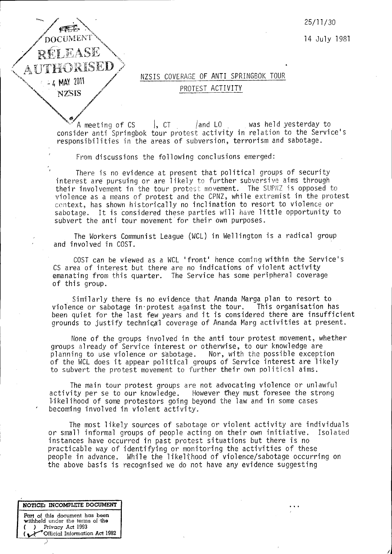DOCUMENT RÚLLASE AUTHORISED  $-4$  MAY 2011 **NZSIS** 

25/11/30

14 July 1981

## NZSIS COVERAGE OF ANTI SPRINGBOK TOUR PROTEST ACTIVITY

I, CT. *land* LO. was held yesterday to A meeting of CS consider anti Springbok tour protest activity in relation to the Service's responsibilities in the areas of subversion, terrorism and sabotage.

From discussions the following conclusions emerged:

There is no *evidence* at present that political groups of security interest are pursuing or are likely to further subversive aims through their involvement in the tour protest movement. The SUPNZ is opposed to violence as a means of protest and the CPNZ, while extremist in the protest context, has shown historically no inclination to resort to violence or sabotage. It is considered these parties will have little opportunity to *subvert* the anti tour *movement"* for their own purposes.

The Workers Communist League (WCL) in Wellington is a radical group and *involved* in COST.

COST can be viewed as a WCL 'front' hence coming within the *Service's* CS area of interest but there are no indications of violent activity emanating from this quarter. The *Service* has some peripheral coverage of this group.

. Similarly there is no *evidence* that Ananda Marga plan to resort to violence or sabotage in protest against the tour. been quiet for the last few years and it is considered there are insufficient grounds to justify technical coverage of Ananda Marg activities at present.

None of the groups involved in the anti tour protest *movement,* whether groups already of Service interest or otherwise, to our knowledge are planning to use violence or sabotage. Nor, with the possible exception of the WCL does it appear political groups of *Service* interest are likely to subvert the protest *movement* to further their own political aims.

The main tour protest groups are not advocating violence or unlawful activity per se to our knowledge. However they must foresee the strong However they must foresee the strong. likelihood of some protestors going beyond the law and in some cases becoming involved in violent activity.

The most likely sources of sabotage or violent activity are individuals or small informal groups of people acting on their own initiative. Isolated instances *have* occurred in past protest situations but there is no practicable way of identifying or monitoring the activities of these people in *advance.* While the likelthood of violence/sabotage occurring on the above basis is recognised we do not have any evidence suggesting

 $\ddot{\phantom{0}}$ 

**NonCE: INCOMPLETE DOCUMENT Part** of this document has been withheld under the terms of the *( ) Privacy* Act 1993 Official Information Act 1982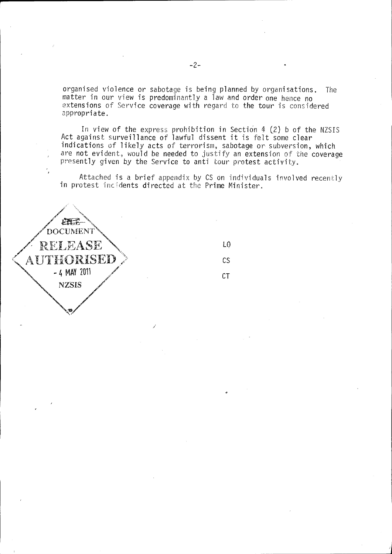organised violence or sabotage is being planned *by* organisations. The matter in our view is predominantly a law and order one hence no extensions of Service coverage with regard to the tour is considered appropriate.

In view of the express prohibition in Section  $4$  (2) b of the NZSIS Act against surveillance of lawful dissent it is felt some clear indications of likely acts of terrorism, sabotage or subversion, which are not evident, would be needed to justify an extension of the coverage presently given by the Service to anti tour protest activity.

Attached is a brief appendix by CS dn individuals involved recently in protest incidents directed at the Prime Minister.

/

LO

CS

CT

山王 **DOCUMENT RELEASE** AUTHORISED  $-4$  MAY 2011 **NZSIS**